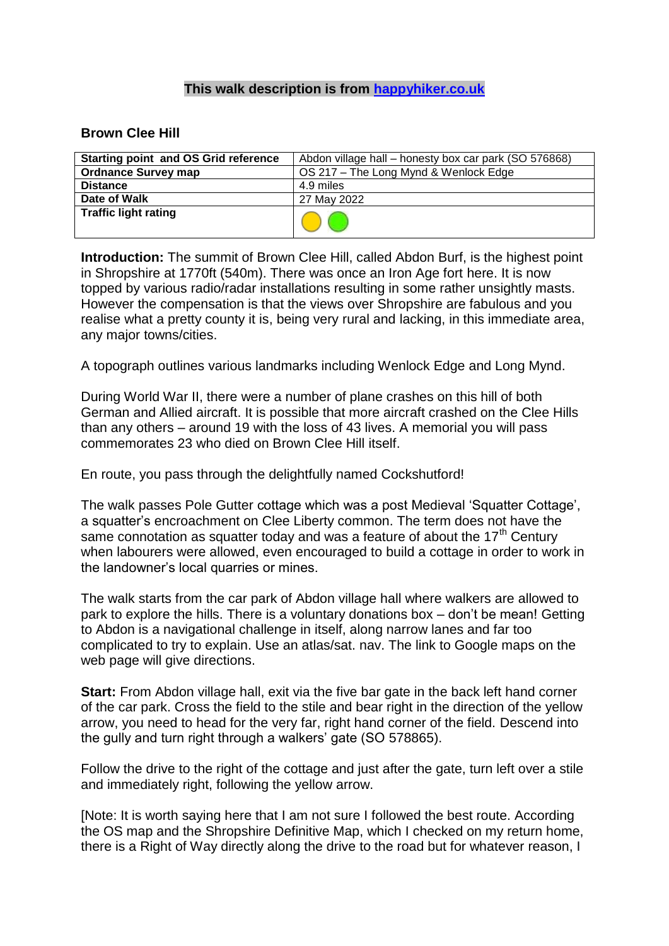## **This walk description is from [happyhiker.co.uk](http://happyhiker.co.uk/)**

## **Brown Clee Hill**

| <b>Starting point and OS Grid reference</b> | Abdon village hall – honesty box car park (SO 576868) |
|---------------------------------------------|-------------------------------------------------------|
| <b>Ordnance Survey map</b>                  | OS 217 - The Long Mynd & Wenlock Edge                 |
| <b>Distance</b>                             | 4.9 miles                                             |
| Date of Walk                                | 27 May 2022                                           |
| <b>Traffic light rating</b>                 |                                                       |

**Introduction:** The summit of Brown Clee Hill, called Abdon Burf, is the highest point in Shropshire at 1770ft (540m). There was once an Iron Age fort here. It is now topped by various radio/radar installations resulting in some rather unsightly masts. However the compensation is that the views over Shropshire are fabulous and you realise what a pretty county it is, being very rural and lacking, in this immediate area, any major towns/cities.

A topograph outlines various landmarks including Wenlock Edge and Long Mynd.

During World War II, there were a number of plane crashes on this hill of both German and Allied aircraft. It is possible that more aircraft crashed on the Clee Hills than any others – around 19 with the loss of 43 lives. A memorial you will pass commemorates 23 who died on Brown Clee Hill itself.

En route, you pass through the delightfully named Cockshutford!

The walk passes Pole Gutter cottage which was a post Medieval 'Squatter Cottage', a squatter's encroachment on Clee Liberty common. The term does not have the same connotation as squatter today and was a feature of about the  $17<sup>th</sup>$  Century when labourers were allowed, even encouraged to build a cottage in order to work in the landowner's local quarries or mines.

The walk starts from the car park of Abdon village hall where walkers are allowed to park to explore the hills. There is a voluntary donations box – don't be mean! Getting to Abdon is a navigational challenge in itself, along narrow lanes and far too complicated to try to explain. Use an atlas/sat. nav. The link to Google maps on the web page will give directions.

**Start:** From Abdon village hall, exit via the five bar gate in the back left hand corner of the car park. Cross the field to the stile and bear right in the direction of the yellow arrow, you need to head for the very far, right hand corner of the field. Descend into the gully and turn right through a walkers' gate (SO 578865).

Follow the drive to the right of the cottage and just after the gate, turn left over a stile and immediately right, following the yellow arrow.

[Note: It is worth saying here that I am not sure I followed the best route. According the OS map and the Shropshire Definitive Map, which I checked on my return home, there is a Right of Way directly along the drive to the road but for whatever reason, I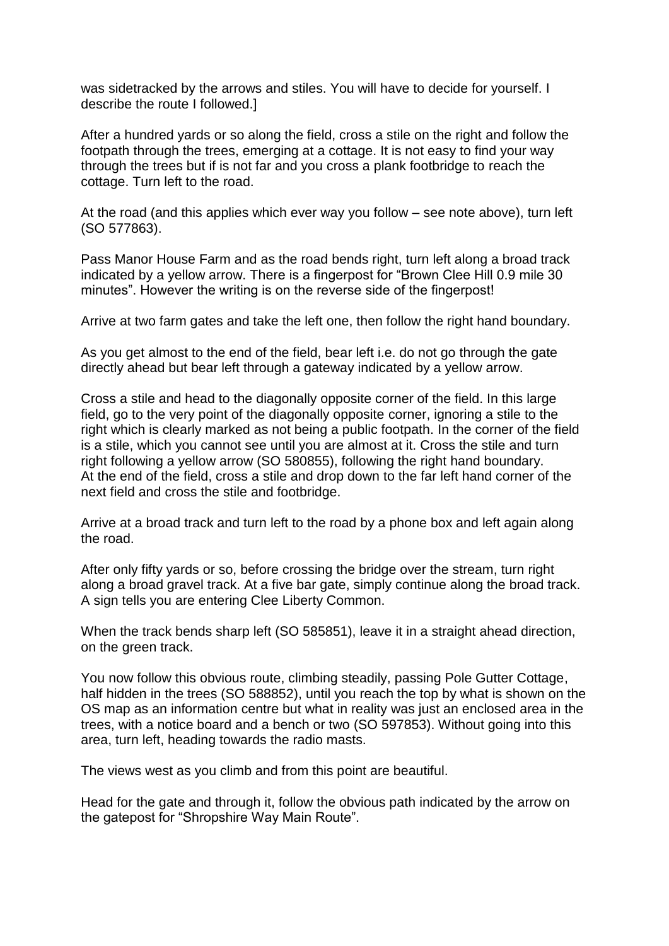was sidetracked by the arrows and stiles. You will have to decide for yourself. I describe the route I followed.]

After a hundred yards or so along the field, cross a stile on the right and follow the footpath through the trees, emerging at a cottage. It is not easy to find your way through the trees but if is not far and you cross a plank footbridge to reach the cottage. Turn left to the road.

At the road (and this applies which ever way you follow – see note above), turn left (SO 577863).

Pass Manor House Farm and as the road bends right, turn left along a broad track indicated by a yellow arrow. There is a fingerpost for "Brown Clee Hill 0.9 mile 30 minutes". However the writing is on the reverse side of the fingerpost!

Arrive at two farm gates and take the left one, then follow the right hand boundary.

As you get almost to the end of the field, bear left i.e. do not go through the gate directly ahead but bear left through a gateway indicated by a yellow arrow.

Cross a stile and head to the diagonally opposite corner of the field. In this large field, go to the very point of the diagonally opposite corner, ignoring a stile to the right which is clearly marked as not being a public footpath. In the corner of the field is a stile, which you cannot see until you are almost at it. Cross the stile and turn right following a yellow arrow (SO 580855), following the right hand boundary. At the end of the field, cross a stile and drop down to the far left hand corner of the next field and cross the stile and footbridge.

Arrive at a broad track and turn left to the road by a phone box and left again along the road.

After only fifty yards or so, before crossing the bridge over the stream, turn right along a broad gravel track. At a five bar gate, simply continue along the broad track. A sign tells you are entering Clee Liberty Common.

When the track bends sharp left (SO 585851), leave it in a straight ahead direction, on the green track.

You now follow this obvious route, climbing steadily, passing Pole Gutter Cottage, half hidden in the trees (SO 588852), until you reach the top by what is shown on the OS map as an information centre but what in reality was just an enclosed area in the trees, with a notice board and a bench or two (SO 597853). Without going into this area, turn left, heading towards the radio masts.

The views west as you climb and from this point are beautiful.

Head for the gate and through it, follow the obvious path indicated by the arrow on the gatepost for "Shropshire Way Main Route".